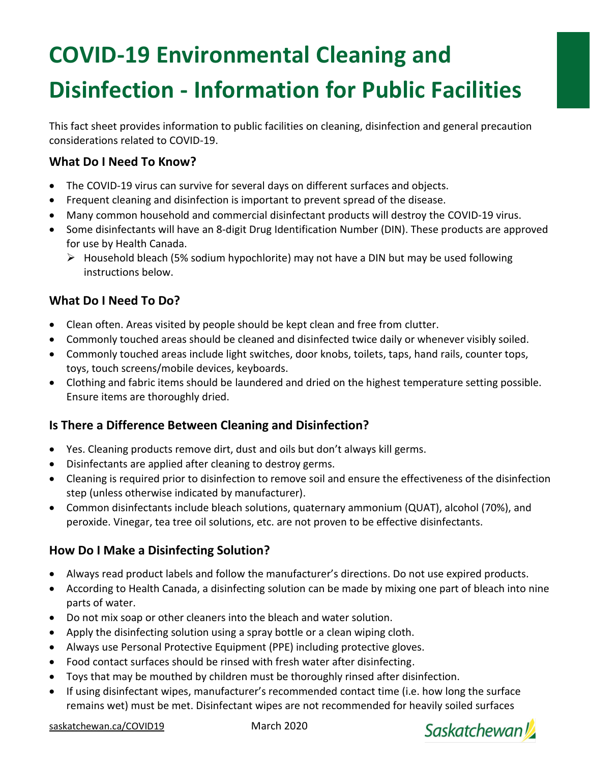# **COVID-19 Environmental Cleaning and Disinfection - Information for Public Facilities**

This fact sheet provides information to public facilities on cleaning, disinfection and general precaution considerations related to COVID-19.

### **What Do I Need To Know?**

- The COVID-19 virus can survive for several days on different surfaces and objects.
- Frequent cleaning and disinfection is important to prevent spread of the disease.
- Many common household and commercial disinfectant products will destroy the COVID-19 virus.
- Some disinfectants will have an 8-digit Drug Identification Number (DIN). These products are approved for use by Health Canada.
	- $\triangleright$  Household bleach (5% sodium hypochlorite) may not have a DIN but may be used following instructions below.

# **What Do I Need To Do?**

- Clean often. Areas visited by people should be kept clean and free from clutter.
- Commonly touched areas should be cleaned and disinfected twice daily or whenever visibly soiled.
- Commonly touched areas include light switches, door knobs, toilets, taps, hand rails, counter tops, toys, touch screens/mobile devices, keyboards.
- Clothing and fabric items should be laundered and dried on the highest temperature setting possible. Ensure items are thoroughly dried.

#### **Is There a Difference Between Cleaning and Disinfection?**

- Yes. Cleaning products remove dirt, dust and oils but don't always kill germs.
- Disinfectants are applied after cleaning to destroy germs.
- Cleaning is required prior to disinfection to remove soil and ensure the effectiveness of the disinfection step (unless otherwise indicated by manufacturer).
- Common disinfectants include bleach solutions, quaternary ammonium (QUAT), alcohol (70%), and peroxide. Vinegar, tea tree oil solutions, etc. are not proven to be effective disinfectants.

#### **How Do I Make a Disinfecting Solution?**

- Always read product labels and follow the manufacturer's directions. Do not use expired products.
- According to Health Canada, a disinfecting solution can be made by mixing one part of bleach into nine parts of water.
- Do not mix soap or other cleaners into the bleach and water solution.
- Apply the disinfecting solution using a spray bottle or a clean wiping cloth.
- Always use Personal Protective Equipment (PPE) including protective gloves.
- Food contact surfaces should be rinsed with fresh water after disinfecting.
- Toys that may be mouthed by children must be thoroughly rinsed after disinfection.
- If using disinfectant wipes, manufacturer's recommended contact time (i.e. how long the surface remains wet) must be met. Disinfectant wipes are not recommended for heavily soiled surfaces